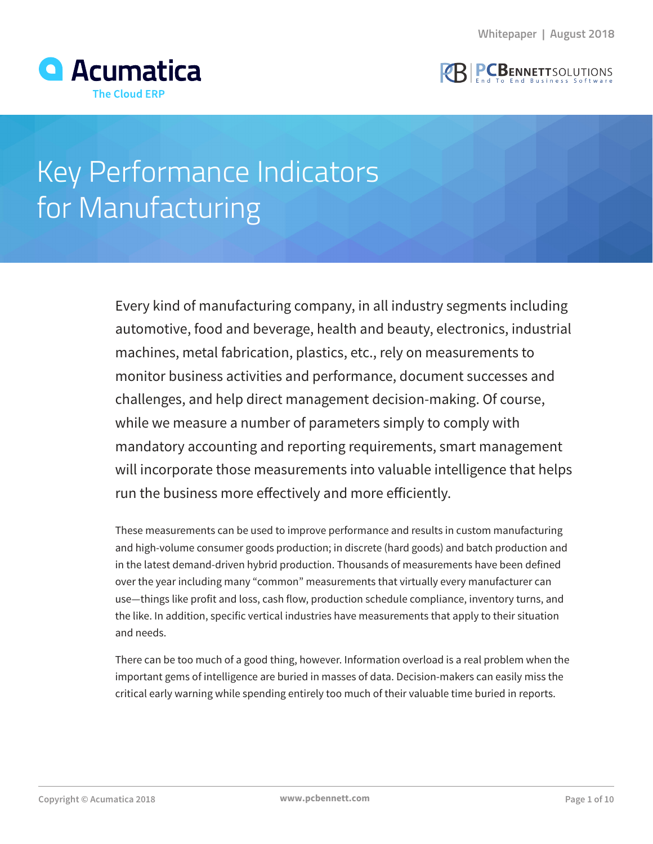



# Key Performance Indicators for Manufacturing

Every kind of manufacturing company, in all industry segments including automotive, food and beverage, health and beauty, electronics, industrial machines, metal fabrication, plastics, etc., rely on measurements to monitor business activities and performance, document successes and challenges, and help direct management decision-making. Of course, while we measure a number of parameters simply to comply with mandatory accounting and reporting requirements, smart management will incorporate those measurements into valuable intelligence that helps run the business more effectively and more efficiently.

These measurements can be used to improve performance and results in custom manufacturing and high-volume consumer goods production; in discrete (hard goods) and batch production and in the latest demand-driven hybrid production. Thousands of measurements have been defined over the year including many "common" measurements that virtually every manufacturer can use—things like profit and loss, cash flow, production schedule compliance, inventory turns, and the like. In addition, specific vertical industries have measurements that apply to their situation and needs.

There can be too much of a good thing, however. Information overload is a real problem when the important gems of intelligence are buried in masses of data. Decision-makers can easily miss the critical early warning while spending entirely too much of their valuable time buried in reports.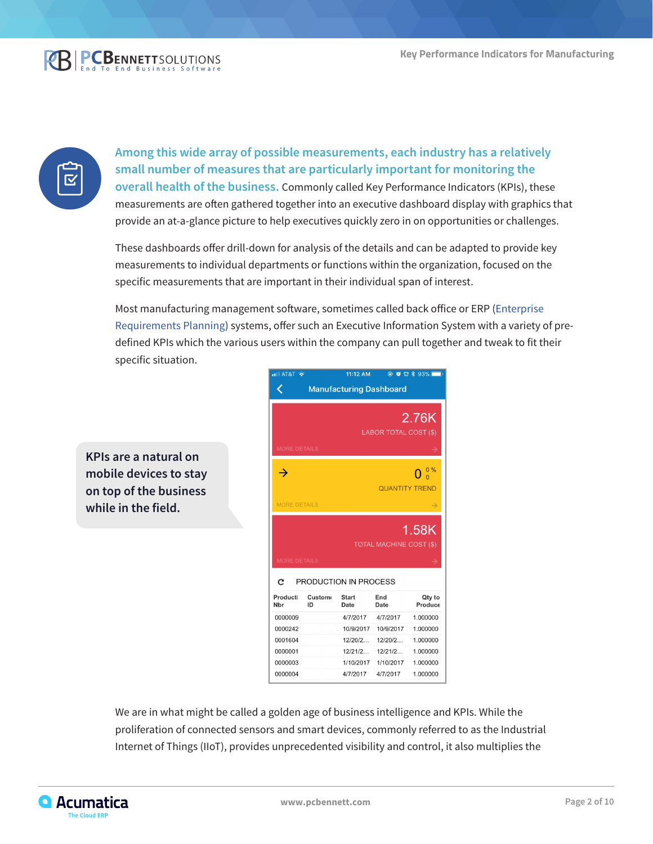



**Among this wide array of possible measurements, each industry has a relatively small number of measures that are particularly important for monitoring the overall health of the business.** Commonly called Key Performance Indicators (KPIs), these measurements are often gathered together into an executive dashboard display with graphics that provide an at-a-glance picture to help executives quickly zero in on opportunities or challenges.

These dashboards offer drill-down for analysis of the details and can be adapted to provide key measurements to individual departments or functions within the organization, focused on the specific measurements that are important in their individual span of interest.

Most manufacturing management software, sometimes called back office or ERP (Enterprise Requirements Planning) systems, offer such an Executive Information System with a variety of predefined KPIs which the various users within the company can pull together and tweak to fit their specific situation.

**KPIs are a natural on mobile devices to stay on top of the business while in the field.**



We are in what might be called a golden age of business intelligence and KPIs. While the proliferation of connected sensors and smart devices, commonly referred to as the Industrial Internet of Things (IIoT), provides unprecedented visibility and control, it also multiplies the

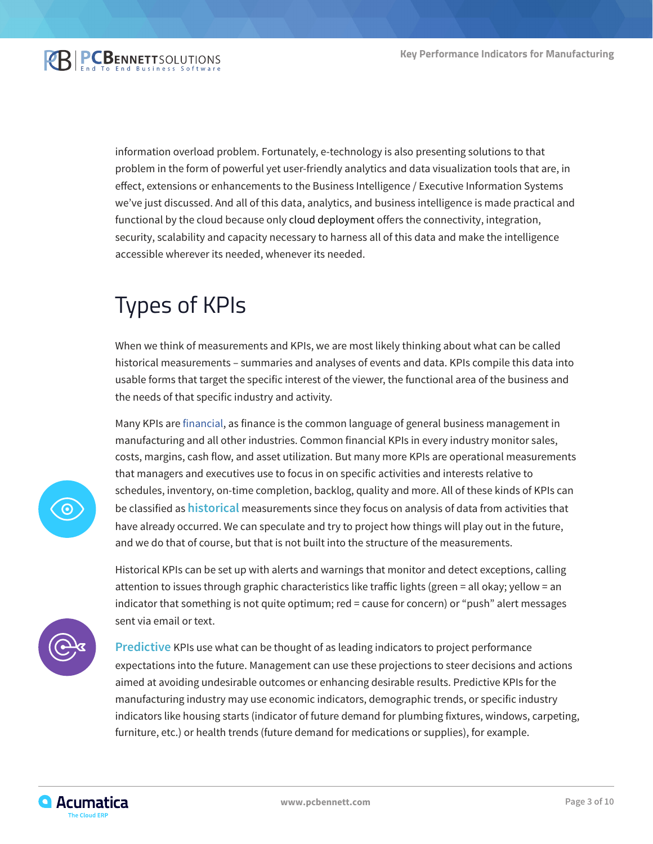

information overload problem. Fortunately, e-technology is also presenting solutions to that problem in the form of powerful yet user-friendly analytics and data visualization tools that are, in effect, extensions or enhancements to the Business Intelligence / Executive Information Systems we've just discussed. And all of this data, analytics, and business intelligence is made practical and functional by the cloud because only cloud deployment offers the connectivity, integration, security, scalability and capacity necessary to harness all of this data and make the intelligence accessible wherever its needed, whenever its needed.

# Types of KPIs

When we think of measurements and KPIs, we are most likely thinking about what can be called historical measurements – summaries and analyses of events and data. KPIs compile this data into usable forms that target the specific interest of the viewer, the functional area of the business and the needs of that specific industry and activity.

Many KPIs are [financial](https://www.pcbennett.com/acumatica-erp/products/financial-management/), as finance is the common language of general business management in manufacturing and all other industries. Common financial KPIs in every industry monitor sales, costs, margins, cash flow, and asset utilization. But many more KPIs are operational measurements that managers and executives use to focus in on specific activities and interests relative to schedules, inventory, on-time completion, backlog, quality and more. All of these kinds of KPIs can be classified as **historical** measurements since they focus on analysis of data from activities that have already occurred. We can speculate and try to project how things will play out in the future, and we do that of course, but that is not built into the structure of the measurements.



Historical KPIs can be set up with alerts and warnings that monitor and detect exceptions, calling attention to issues through graphic characteristics like traffic lights (green = all okay; yellow = an indicator that something is not quite optimum; red = cause for concern) or "push" alert messages sent via email or text.



**Predictive** KPIs use what can be thought of as leading indicators to project performance expectations into the future. Management can use these projections to steer decisions and actions aimed at avoiding undesirable outcomes or enhancing desirable results. Predictive KPIs for the manufacturing industry may use economic indicators, demographic trends, or specific industry indicators like housing starts (indicator of future demand for plumbing fixtures, windows, carpeting, furniture, etc.) or health trends (future demand for medications or supplies), for example.

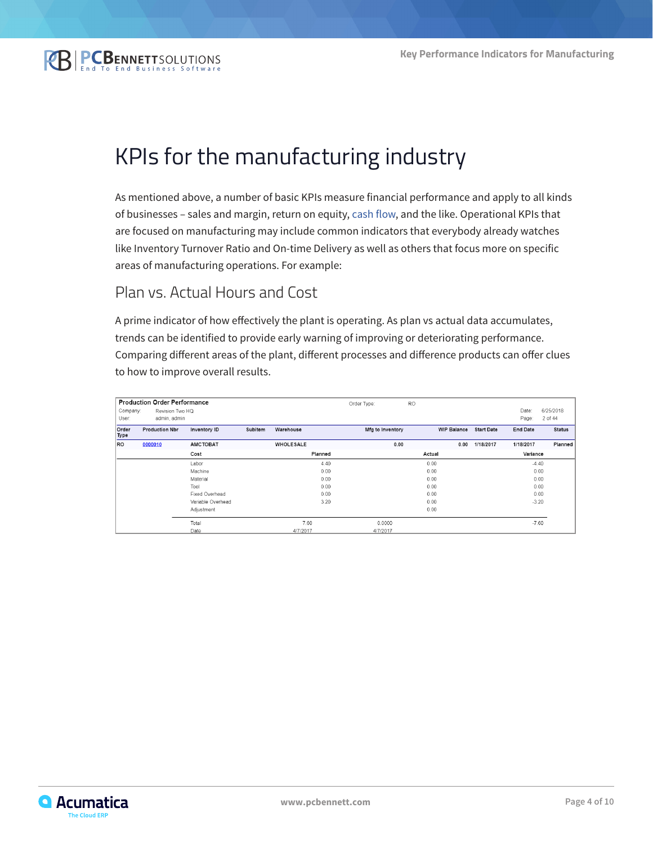

### KPIs for the manufacturing industry

As mentioned above, a number of basic KPIs measure financial performance and apply to all kinds of businesses – sales and margin, return on equity, [cash flow](https://www.pcbennett.com/acumatica-erp/products/financial-management/), and the like. Operational KPIs that are focused on manufacturing may include common indicators that everybody already watches like Inventory Turnover Ratio and On-time Delivery as well as others that focus more on specific areas of manufacturing operations. For example:

#### Plan vs. Actual Hours and Cost

A prime indicator of how effectively the plant is operating. As plan vs actual data accumulates, trends can be identified to provide early warning of improving or deteriorating performance. Comparing different areas of the plant, different processes and difference products can offer clues to how to improve overall results.

|               | <b>Production Order Performance</b> |                   |         |                  | Order Type:      | <b>RO</b>          |                   |                 |               |
|---------------|-------------------------------------|-------------------|---------|------------------|------------------|--------------------|-------------------|-----------------|---------------|
| Company:      | Revision Two HQ                     |                   |         |                  |                  |                    |                   | Date:           | 6/25/2018     |
| User:         | admin, admin                        |                   |         |                  |                  |                    |                   | Page:           | 2 of 44       |
| Order<br>Type | <b>Production Nbr</b>               | Inventory ID      | Subitem | Warehouse        | Mfg to Inventory | <b>WIP Balance</b> | <b>Start Date</b> | <b>End Date</b> | <b>Status</b> |
| <b>RO</b>     | 0000010                             | <b>AMCTOBAT</b>   |         | <b>WHOLESALE</b> | 0.00             | 0.00               | 1/18/2017         | 1/18/2017       | Planned       |
|               |                                     | Cost              |         | Planned          |                  | Actual             |                   | Variance        |               |
|               |                                     | Labor             |         | 4.40             |                  | 0.00               |                   | $-4.40$         |               |
|               |                                     | Machine           |         | 0.00             |                  |                    |                   | 0.00            |               |
|               |                                     | Material          |         | 0.00             |                  |                    |                   | 0.00            |               |
|               | Tool<br>Fixed Overhead              |                   |         | 0.00             |                  | 0.00<br>0.00       |                   |                 | 0.00          |
|               |                                     |                   |         | 0.00             |                  |                    |                   |                 | 0.00          |
|               |                                     | Variable Overhead |         | 3.20             |                  |                    | $-3.20$           |                 |               |
|               | Adjustment                          |                   |         |                  |                  | 0.00               |                   |                 |               |
|               |                                     | Total             |         | 7.60             | 0.0000           |                    |                   | $-7.60$         |               |
|               |                                     | Date              |         | 4/7/2017         | 4/7/2017         |                    |                   |                 |               |

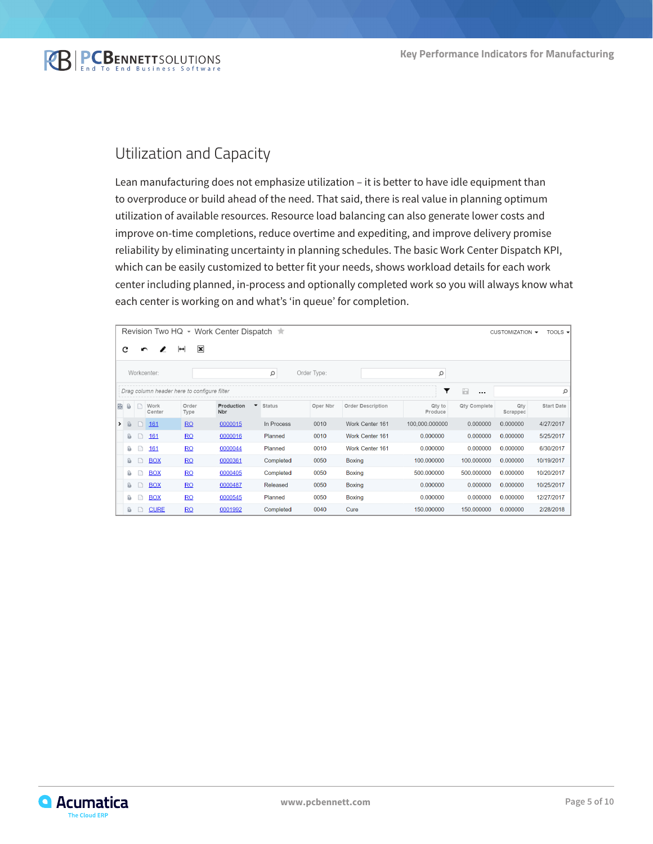

#### Utilization and Capacity

Lean manufacturing does not emphasize utilization – it is better to have idle equipment than to overproduce or build ahead of the need. That said, there is real value in planning optimum utilization of available resources. Resource load balancing can also generate lower costs and improve on-time completions, reduce overtime and expediting, and improve delivery promise reliability by eliminating uncertainty in planning schedules. The basic Work Center Dispatch KPI, which can be easily customized to better fit your needs, shows workload details for each work center including planned, in-process and optionally completed work so you will always know what each center is working on and what's 'in queue' for completion.

|      | Revision Two HQ • Work Center Dispatch ★<br>TOOLS $\blacktriangledown$<br>CUSTOMIZATION - |        |                |                                             |                   |                          |               |          |                        |                   |                    |                 |                   |
|------|-------------------------------------------------------------------------------------------|--------|----------------|---------------------------------------------|-------------------|--------------------------|---------------|----------|------------------------|-------------------|--------------------|-----------------|-------------------|
|      | $\mathbf x$<br>С<br>$\mapsto$<br>r                                                        |        |                |                                             |                   |                          |               |          |                        |                   |                    |                 |                   |
|      | Workcenter:<br>Order Type:<br>α<br>α                                                      |        |                |                                             |                   |                          |               |          |                        |                   |                    |                 |                   |
|      |                                                                                           |        |                | Drag column header here to configure filter |                   |                          |               |          |                        | ▼                 | $\Box$<br>$\cdots$ |                 |                   |
| i Bi | 0                                                                                         | n      | Work<br>Center | Order<br>Type                               | Production<br>Nbr | $\overline{\phantom{a}}$ | <b>Status</b> | Oper Nbr | Order Description      | Qty to<br>Produce | Qty Complete       | Qty<br>Scrapped | <b>Start Date</b> |
| ▸    | $\omega$                                                                                  | n      | 161            | RO                                          | 0000015           |                          | In Process    | 0010     | Work Center 161        | 100,000.000000    | 0.000000           | 0.000000        | 4/27/2017         |
|      | O,                                                                                        | n      | 161            | RO                                          | 0000016           |                          | Planned       | 0010     | Work Center 161        | 0.000000          | 0.000000           | 0.000000        | 5/25/2017         |
|      | Û,                                                                                        | n      | 161            | RO                                          | 0000044           |                          | Planned       | 0010     | <b>Work Center 161</b> | 0.000000          | 0.000000           | 0.000000        | 6/30/2017         |
|      | Ū,                                                                                        |        | <b>BOX</b>     | RO                                          | 0000361           |                          | Completed     | 0050     | <b>Boxing</b>          | 100.000000        | 100.000000         | 0.000000        | 10/19/2017        |
|      | Û,                                                                                        | n      | <b>BOX</b>     | RO                                          | 0000405           |                          | Completed     | 0050     | <b>Boxing</b>          | 500.000000        | 500.000000         | 0.000000        | 10/20/2017        |
|      | Û,                                                                                        | $\Box$ | <b>BOX</b>     | RO                                          | 0000487           |                          | Released      | 0050     | <b>Boxing</b>          | 0.000000          | 0.000000           | 0.000000        | 10/25/2017        |
|      | Û,                                                                                        |        | <b>BOX</b>     | RO                                          | 0000545           |                          | Planned       | 0050     | <b>Boxing</b>          | 0.000000          | 0.000000           | 0.000000        | 12/27/2017        |
|      | û                                                                                         |        | <b>CURE</b>    | RO                                          | 0001992           |                          | Completed     | 0040     | Cure                   | 150.000000        | 150.000000         | 0.000000        | 2/28/2018         |

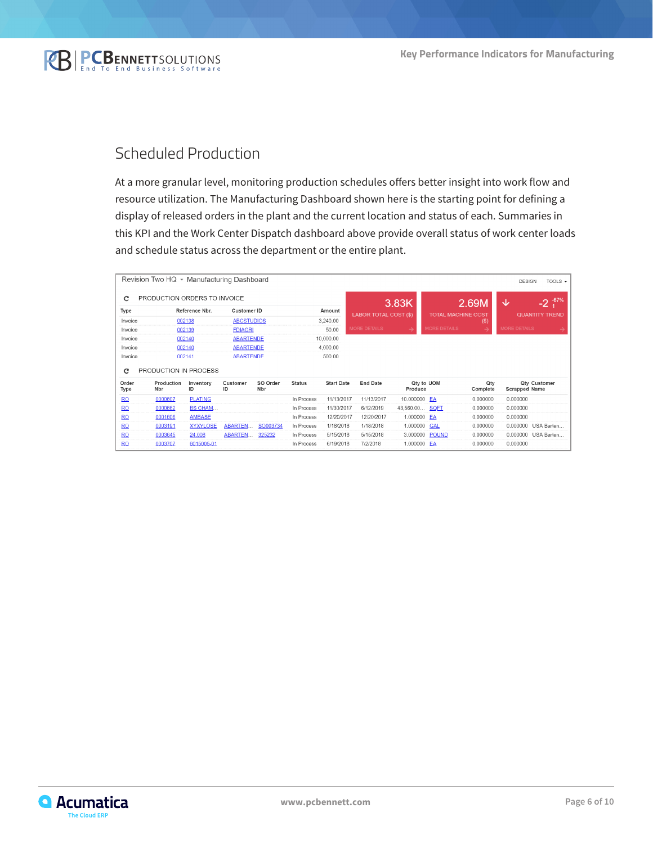

#### Scheduled Production

At a more granular level, monitoring production schedules offers better insight into work flow and resource utilization. The Manufacturing Dashboard shown here is the starting point for defining a display of released orders in the plant and the current location and status of each. Summaries in this KPI and the Work Center Dispatch dashboard above provide overall status of work center loads and schedule status across the department or the entire plant.

| Revision Two HQ ▼ Manufacturing Dashboard<br><b>DESIGN</b><br>TOOLS $\blacktriangleright$ |                              |                 |                   |                  |               |                              |                     |                           |                     |                       |                      |              |
|-------------------------------------------------------------------------------------------|------------------------------|-----------------|-------------------|------------------|---------------|------------------------------|---------------------|---------------------------|---------------------|-----------------------|----------------------|--------------|
| C                                                                                         | PRODUCTION ORDERS TO INVOICE |                 |                   |                  |               |                              | 3.83K<br>2.69M      |                           |                     |                       | J                    | $-67%$<br>-2 |
| Reference Nbr.<br>Type                                                                    |                              |                 | Customer ID       |                  | Amount        | <b>LABOR TOTAL COST (\$)</b> |                     | <b>TOTAL MACHINE COST</b> |                     | <b>QUANTITY TREND</b> |                      |              |
| Invoice                                                                                   | 002138                       |                 | <b>ABCSTUDIOS</b> |                  | 3.240.00      |                              |                     |                           | $($ \$)             |                       |                      |              |
| Invoice                                                                                   |                              | 002139          | <b>FDIAGRI</b>    |                  |               | 50.00                        | <b>MORE DETAILS</b> | د                         | <b>MORE DETAILS</b> | →                     | <b>MORE DETAILS</b>  |              |
| Invoice                                                                                   |                              | 002140          | <b>ABARTENDE</b>  |                  |               | 10,000.00                    |                     |                           |                     |                       |                      |              |
| Invoice                                                                                   | 002140                       |                 |                   | <b>ABARTENDE</b> |               | 4,000.00                     |                     |                           |                     |                       |                      |              |
|                                                                                           | 002141                       |                 | <b>ARARTENDE</b>  |                  |               |                              |                     |                           |                     |                       |                      |              |
| Invoice                                                                                   |                              |                 |                   |                  |               | 500.00                       |                     |                           |                     |                       |                      |              |
| C                                                                                         | PRODUCTION IN PROCESS        |                 |                   |                  |               |                              |                     |                           |                     |                       |                      |              |
| Order<br>Type                                                                             | Production<br>Nbr            | Inventory<br>ID | Customer<br>ID    | SO Order<br>Nbr  | <b>Status</b> | <b>Start Date</b>            | <b>End Date</b>     | Qty to UOM<br>Produce     |                     | Qtv<br>Complete       | <b>Scrapped Name</b> | Qty Customer |
| <b>RO</b>                                                                                 | 0000607                      | <b>PLATING</b>  |                   |                  | In Process    | 11/13/2017                   | 11/13/2017          | 10.000000 EA              |                     | 0.000000              | 0.000000             |              |
| <b>RO</b>                                                                                 | 0000662                      | <b>BS CHAM</b>  |                   |                  | In Process    | 11/30/2017                   | 6/12/2019           | 43,560.00 <b>SQET</b>     |                     | 0.000000              | 0.000000             |              |
| <b>RO</b>                                                                                 | 0001606                      | <b>AMBASE</b>   |                   |                  | In Process    | 12/20/2017                   | 12/20/2017          | 1.000000                  | EA                  | 0.000000              | 0.000000             |              |
| <b>RO</b>                                                                                 | 0003191                      | <b>XYXYLOSE</b> | <b>ABARTEN</b>    | SO003734         | In Process    | 1/18/2018                    | 1/18/2018           | 1.000000                  | <b>GAL</b>          | 0.000000              | 0.000000             | USA Barten   |
| <b>RO</b>                                                                                 | 0003645                      | 24.008          | ABARTEN           | 325232           | In Process    | 5/15/2018                    | 5/15/2018           | 3.000000 POUND            |                     | 0.000000              | 0.000000             | USA Barten   |

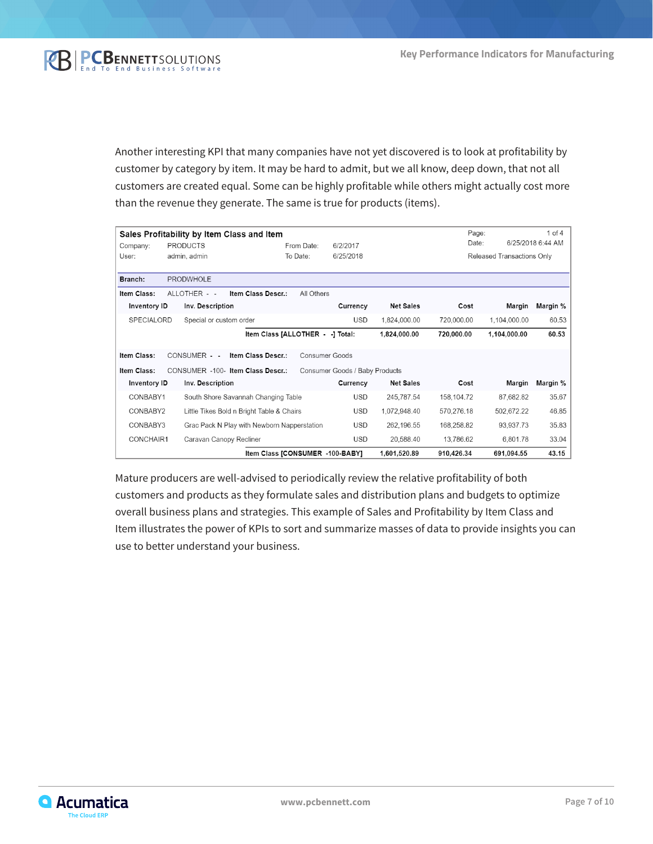

Another interesting KPI that many companies have not yet discovered is to look at profitability by customer by category by item. It may be hard to admit, but we all know, deep down, that not all customers are created equal. Some can be highly profitable while others might actually cost more than the revenue they generate. The same is true for products (items).

|                     | Sales Profitability by Item Class and Item |                                             |            |                                |                  | Page:      |                            | $1$ of $4$        |
|---------------------|--------------------------------------------|---------------------------------------------|------------|--------------------------------|------------------|------------|----------------------------|-------------------|
| Company:            | <b>PRODUCTS</b>                            |                                             | From Date: | 6/2/2017                       |                  | Date:      |                            | 6/25/2018 6:44 AM |
| User:               | admin, admin                               |                                             | To Date:   | 6/25/2018                      |                  |            | Released Transactions Only |                   |
|                     |                                            |                                             |            |                                |                  |            |                            |                   |
| Branch:             | PRODWHOLE                                  |                                             |            |                                |                  |            |                            |                   |
| Item Class:         | ALLOTHER - -                               | Item Class Descr.:                          | All Others |                                |                  |            |                            |                   |
| Inventory ID        | Inv. Description                           |                                             |            | Currency                       | <b>Net Sales</b> | Cost       | Margin                     | Margin %          |
| <b>SPECIALORD</b>   | Special or custom order                    |                                             |            | <b>USD</b>                     | 1,824,000.00     | 720,000.00 | 1,104,000.00               | 60.53             |
|                     |                                            | Item Class [ALLOTHER - -] Total:            |            |                                | 1,824,000.00     | 720,000.00 | 1,104,000.00               | 60.53             |
| Item Class:         | CONSUMER - -                               | Item Class Descr.:                          |            | Consumer Goods                 |                  |            |                            |                   |
| Item Class:         | CONSUMER -100- Item Class Descr.:          |                                             |            | Consumer Goods / Baby Products |                  |            |                            |                   |
| <b>Inventory ID</b> | Inv. Description                           |                                             |            | Currency                       | <b>Net Sales</b> | Cost       | Margin                     | Margin %          |
| CONBABY1            |                                            | South Shore Savannah Changing Table         |            | <b>USD</b>                     | 245.787.54       | 158.104.72 | 87.682.82                  | 35.67             |
| CONBABY2            |                                            | Little Tikes Bold n Bright Table & Chairs   |            | <b>USD</b>                     | 1,072,948.40     | 570,276.18 | 502,672.22                 | 46.85             |
| CONBABY3            |                                            | Grac Pack N Play with Newborn Napperstation |            | <b>USD</b>                     | 262,196.55       | 168,258.82 | 93,937.73                  | 35.83             |
| CONCHAIR1           | Caravan Canopy Recliner                    |                                             |            | <b>USD</b>                     | 20,588.40        | 13,786.62  | 6,801.78                   | 33.04             |
|                     |                                            | Item Class [CONSUMER -100-BABY]             |            |                                | 1,601,520.89     | 910,426.34 | 691.094.55                 | 43.15             |

Mature producers are well-advised to periodically review the relative profitability of both customers and products as they formulate sales and distribution plans and budgets to optimize overall business plans and strategies. This example of Sales and Profitability by Item Class and Item illustrates the power of KPIs to sort and summarize masses of data to provide insights you can use to better understand your business.

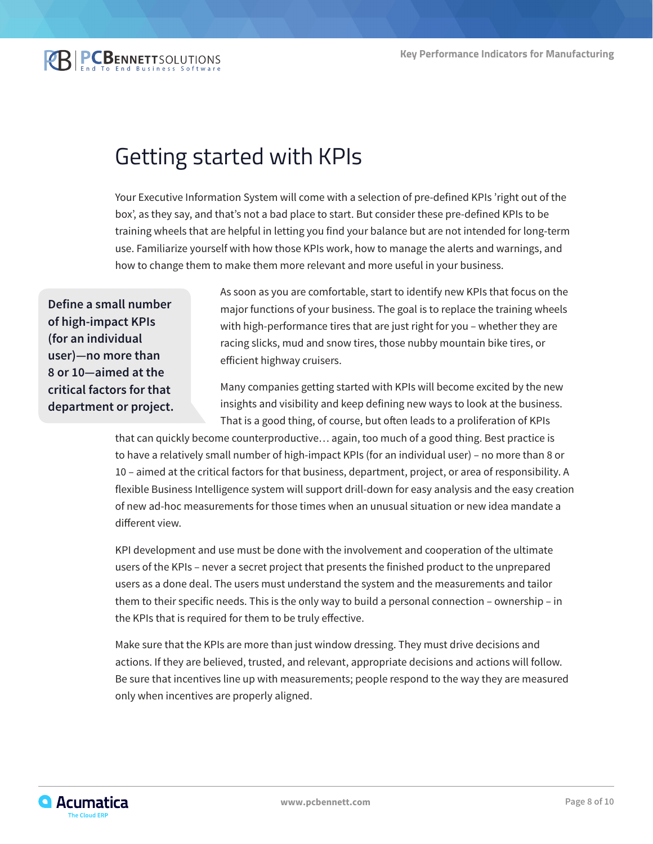**REPCBENNETTSOLUTIONS** 

## Getting started with KPIs

Your Executive Information System will come with a selection of pre-defined KPIs 'right out of the box', as they say, and that's not a bad place to start. But consider these pre-defined KPIs to be training wheels that are helpful in letting you find your balance but are not intended for long-term use. Familiarize yourself with how those KPIs work, how to manage the alerts and warnings, and how to change them to make them more relevant and more useful in your business.

**Define a small number of high-impact KPIs (for an individual user)—no more than 8 or 10—aimed at the critical factors for that department or project.** As soon as you are comfortable, start to identify new KPIs that focus on the major functions of your business. The goal is to replace the training wheels with high-performance tires that are just right for you – whether they are racing slicks, mud and snow tires, those nubby mountain bike tires, or efficient highway cruisers.

Many companies getting started with KPIs will become excited by the new insights and visibility and keep defining new ways to look at the business. That is a good thing, of course, but often leads to a proliferation of KPIs

that can quickly become counterproductive… again, too much of a good thing. Best practice is to have a relatively small number of high-impact KPIs (for an individual user) – no more than 8 or 10 – aimed at the critical factors for that business, department, project, or area of responsibility. A flexible Business Intelligence system will support drill-down for easy analysis and the easy creation of new ad-hoc measurements for those times when an unusual situation or new idea mandate a different view.

KPI development and use must be done with the involvement and cooperation of the ultimate users of the KPIs – never a secret project that presents the finished product to the unprepared users as a done deal. The users must understand the system and the measurements and tailor them to their specific needs. This is the only way to build a personal connection – ownership – in the KPIs that is required for them to be truly effective.

Make sure that the KPIs are more than just window dressing. They must drive decisions and actions. If they are believed, trusted, and relevant, appropriate decisions and actions will follow. Be sure that incentives line up with measurements; people respond to the way they are measured only when incentives are properly aligned.

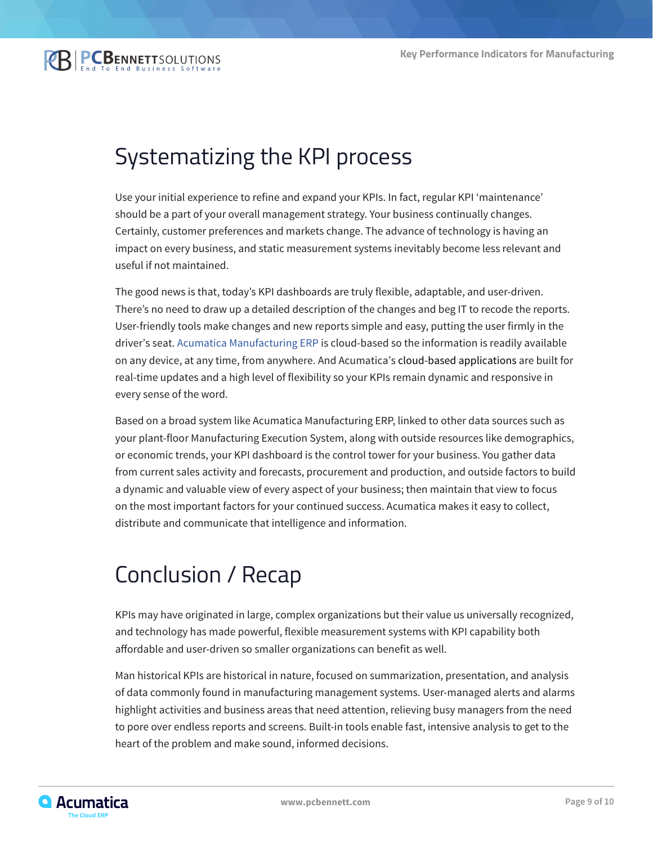# Systematizing the KPI process

Use your initial experience to refine and expand your KPIs. In fact, regular KPI 'maintenance' should be a part of your overall management strategy. Your business continually changes. Certainly, customer preferences and markets change. The advance of technology is having an impact on every business, and static measurement systems inevitably become less relevant and useful if not maintained.

The good news is that, today's KPI dashboards are truly flexible, adaptable, and user-driven. There's no need to draw up a detailed description of the changes and beg IT to recode the reports. User-friendly tools make changes and new reports simple and easy, putting the user firmly in the driver's seat. [Acumatica Manufacturing ERP](https://www.pcbennett.com/acumatica-erp/products/manufacturing/) is cloud-based so the information is readily available on any device, at any time, from anywhere. And Acumatica's cloud-based applications are built for real-time updates and a high level of flexibility so your KPIs remain dynamic and responsive in every sense of the word.

Based on a broad system like Acumatica Manufacturing ERP, linked to other data sources such as your plant-floor Manufacturing Execution System, along with outside resources like demographics, or economic trends, your KPI dashboard is the control tower for your business. You gather data from current sales activity and forecasts, procurement and production, and outside factors to build a dynamic and valuable view of every aspect of your business; then maintain that view to focus on the most important factors for your continued success. Acumatica makes it easy to collect, distribute and communicate that intelligence and information.

## Conclusion / Recap

KPIs may have originated in large, complex organizations but their value us universally recognized, and technology has made powerful, flexible measurement systems with KPI capability both affordable and user-driven so smaller organizations can benefit as well.

Man historical KPIs are historical in nature, focused on summarization, presentation, and analysis of data commonly found in manufacturing management systems. User-managed alerts and alarms highlight activities and business areas that need attention, relieving busy managers from the need to pore over endless reports and screens. Built-in tools enable fast, intensive analysis to get to the heart of the problem and make sound, informed decisions.